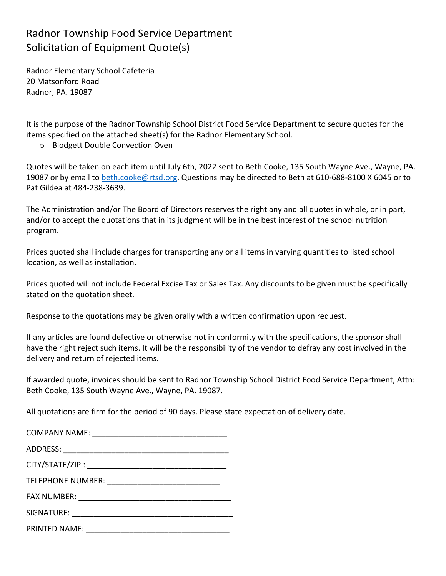## Radnor Township Food Service Department Solicitation of Equipment Quote(s)

Radnor Elementary School Cafeteria 20 Matsonford Road Radnor, PA. 19087

It is the purpose of the Radnor Township School District Food Service Department to secure quotes for the items specified on the attached sheet(s) for the Radnor Elementary School.

o Blodgett Double Convection Oven

Quotes will be taken on each item until July 6th, 2022 sent to Beth Cooke, 135 South Wayne Ave., Wayne, PA. 19087 or by email to beth.cooke@rtsd.org. Questions may be directed to Beth at 610-688-8100 X 6045 or to Pat Gildea at 484-238-3639.

The Administration and/or The Board of Directors reserves the right any and all quotes in whole, or in part, and/or to accept the quotations that in its judgment will be in the best interest of the school nutrition program. 

Prices quoted shall include charges for transporting any or all items in varying quantities to listed school location, as well as installation.

Prices quoted will not include Federal Excise Tax or Sales Tax. Any discounts to be given must be specifically stated on the quotation sheet.

Response to the quotations may be given orally with a written confirmation upon request.

If any articles are found defective or otherwise not in conformity with the specifications, the sponsor shall have the right reject such items. It will be the responsibility of the vendor to defray any cost involved in the delivery and return of rejected items.

If awarded quote, invoices should be sent to Radnor Township School District Food Service Department, Attn: Beth Cooke, 135 South Wayne Ave., Wayne, PA. 19087.

All quotations are firm for the period of 90 days. Please state expectation of delivery date.